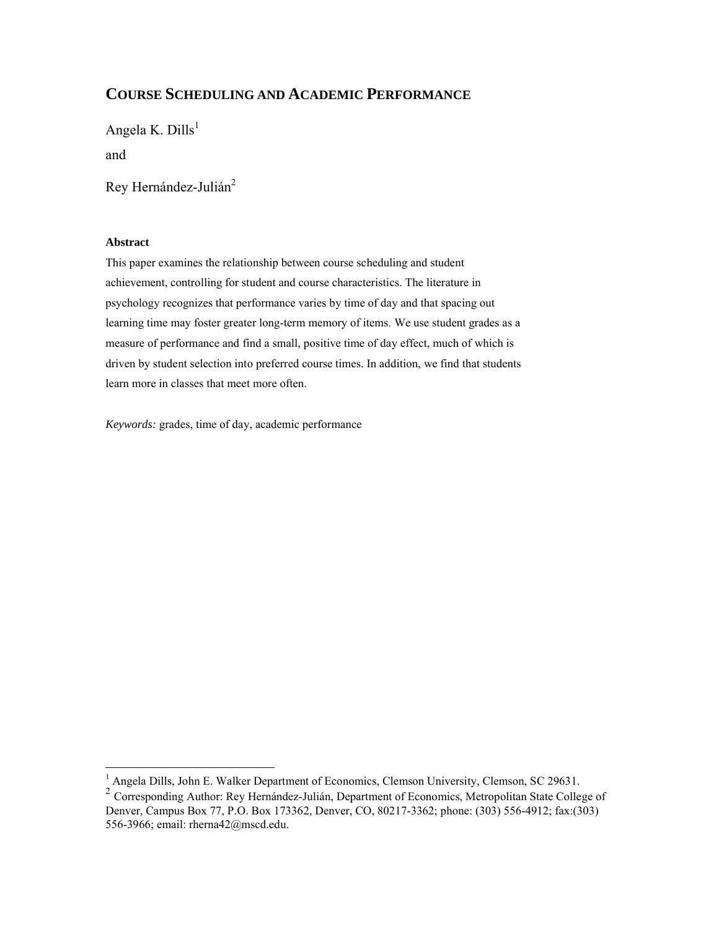## **COURSE SCHEDULING AND ACADEMIC PERFORMANCE**

Angela K. Dills<sup>1</sup> and

Rey Hernández-Julián<sup>2</sup>

#### **Abstract**

This paper examines the relationship between course scheduling and student achievement, controlling for student and course characteristics. The literature in psychology recognizes that performance varies by time of day and that spacing out learning time may foster greater long-term memory of items. We use student grades as a measure of performance and find a small, positive time of day effect, much of which is driven by student selection into preferred course times. In addition, we find that students learn more in classes that meet more often.

*Keywords:* grades, time of day, academic performance

 1 Angela Dills, John E. Walker Department of Economics, Clemson University, Clemson, SC 29631.

<sup>&</sup>lt;sup>2</sup> Corresponding Author: Rey Hernández-Julián, Department of Economics, Metropolitan State College of Denver, Campus Box 77, P.O. Box 173362, Denver, CO, 80217-3362; phone: (303) 556-4912; fax:(303) 556-3966; email: rherna42@mscd.edu.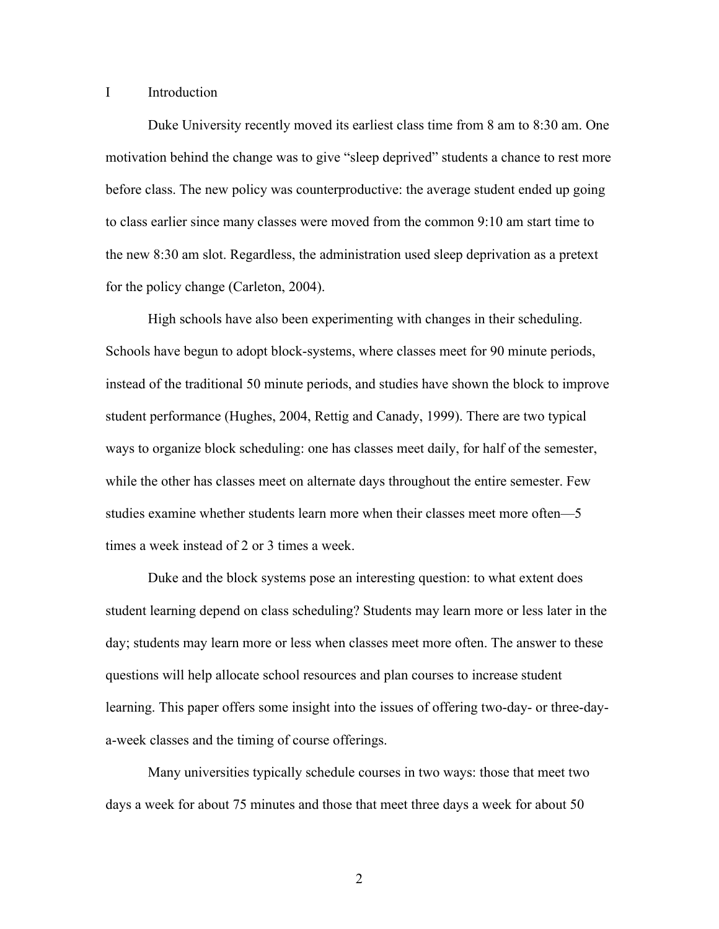### I Introduction

Duke University recently moved its earliest class time from 8 am to 8:30 am. One motivation behind the change was to give "sleep deprived" students a chance to rest more before class. The new policy was counterproductive: the average student ended up going to class earlier since many classes were moved from the common 9:10 am start time to the new 8:30 am slot. Regardless, the administration used sleep deprivation as a pretext for the policy change (Carleton, 2004).

High schools have also been experimenting with changes in their scheduling. Schools have begun to adopt block-systems, where classes meet for 90 minute periods, instead of the traditional 50 minute periods, and studies have shown the block to improve student performance (Hughes, 2004, Rettig and Canady, 1999). There are two typical ways to organize block scheduling: one has classes meet daily, for half of the semester, while the other has classes meet on alternate days throughout the entire semester. Few studies examine whether students learn more when their classes meet more often—5 times a week instead of 2 or 3 times a week.

Duke and the block systems pose an interesting question: to what extent does student learning depend on class scheduling? Students may learn more or less later in the day; students may learn more or less when classes meet more often. The answer to these questions will help allocate school resources and plan courses to increase student learning. This paper offers some insight into the issues of offering two-day- or three-daya-week classes and the timing of course offerings.

Many universities typically schedule courses in two ways: those that meet two days a week for about 75 minutes and those that meet three days a week for about 50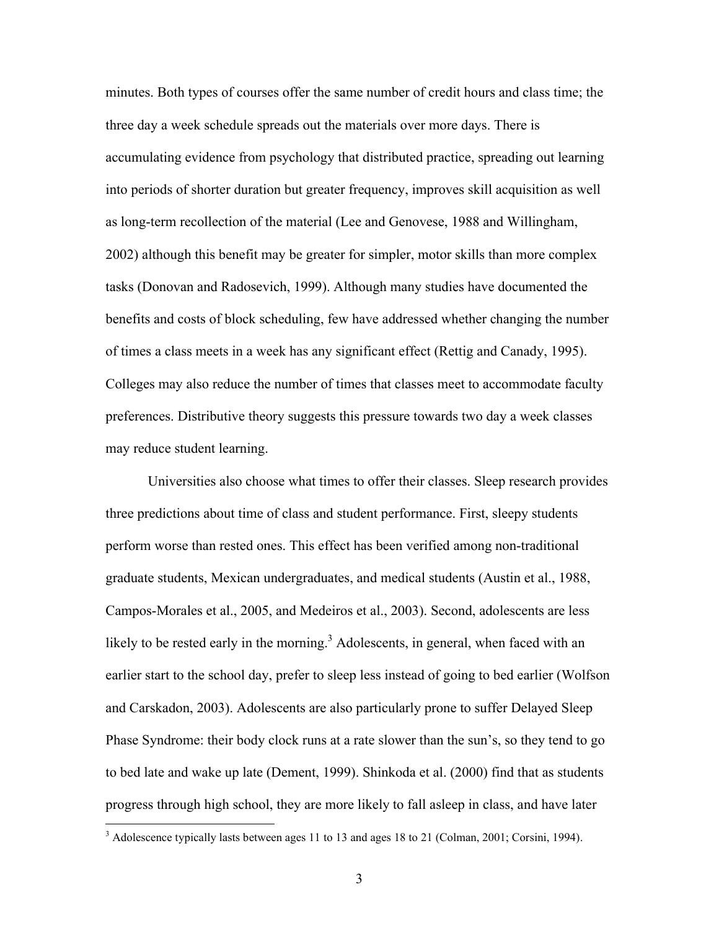minutes. Both types of courses offer the same number of credit hours and class time; the three day a week schedule spreads out the materials over more days. There is accumulating evidence from psychology that distributed practice, spreading out learning into periods of shorter duration but greater frequency, improves skill acquisition as well as long-term recollection of the material (Lee and Genovese, 1988 and Willingham, 2002) although this benefit may be greater for simpler, motor skills than more complex tasks (Donovan and Radosevich, 1999). Although many studies have documented the benefits and costs of block scheduling, few have addressed whether changing the number of times a class meets in a week has any significant effect (Rettig and Canady, 1995). Colleges may also reduce the number of times that classes meet to accommodate faculty preferences. Distributive theory suggests this pressure towards two day a week classes may reduce student learning.

Universities also choose what times to offer their classes. Sleep research provides three predictions about time of class and student performance. First, sleepy students perform worse than rested ones. This effect has been verified among non-traditional graduate students, Mexican undergraduates, and medical students (Austin et al., 1988, Campos-Morales et al., 2005, and Medeiros et al., 2003). Second, adolescents are less likely to be rested early in the morning.<sup>3</sup> Adolescents, in general, when faced with an earlier start to the school day, prefer to sleep less instead of going to bed earlier (Wolfson and Carskadon, 2003). Adolescents are also particularly prone to suffer Delayed Sleep Phase Syndrome: their body clock runs at a rate slower than the sun's, so they tend to go to bed late and wake up late (Dement, 1999). Shinkoda et al. (2000) find that as students progress through high school, they are more likely to fall asleep in class, and have later

 $\overline{a}$ 

 $3$  Adolescence typically lasts between ages 11 to 13 and ages 18 to 21 (Colman, 2001; Corsini, 1994).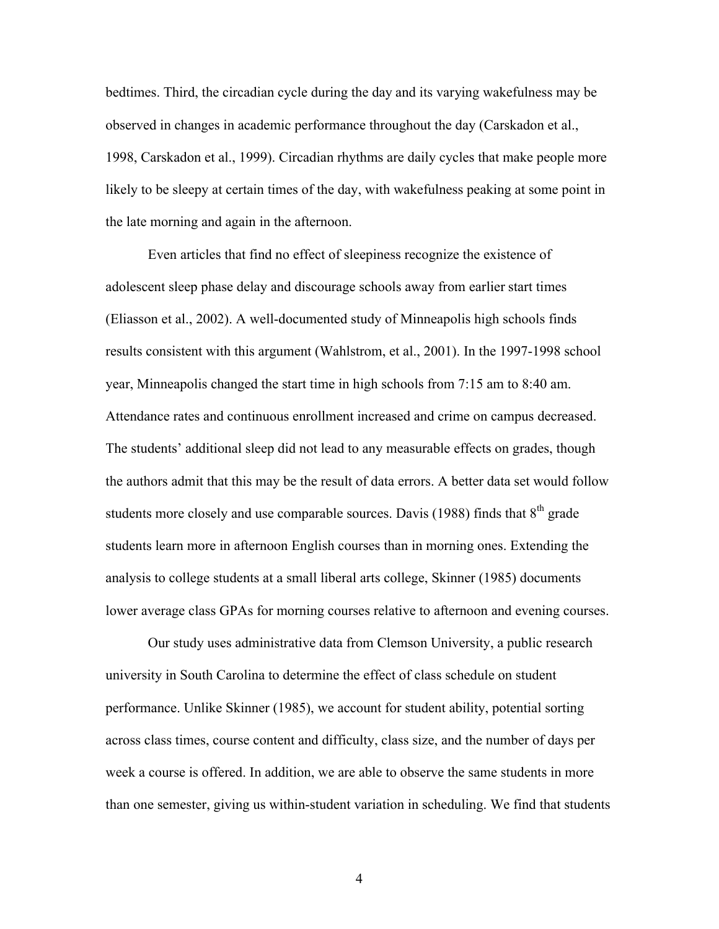bedtimes. Third, the circadian cycle during the day and its varying wakefulness may be observed in changes in academic performance throughout the day (Carskadon et al., 1998, Carskadon et al., 1999). Circadian rhythms are daily cycles that make people more likely to be sleepy at certain times of the day, with wakefulness peaking at some point in the late morning and again in the afternoon.

Even articles that find no effect of sleepiness recognize the existence of adolescent sleep phase delay and discourage schools away from earlier start times (Eliasson et al., 2002). A well-documented study of Minneapolis high schools finds results consistent with this argument (Wahlstrom, et al., 2001). In the 1997-1998 school year, Minneapolis changed the start time in high schools from 7:15 am to 8:40 am. Attendance rates and continuous enrollment increased and crime on campus decreased. The students' additional sleep did not lead to any measurable effects on grades, though the authors admit that this may be the result of data errors. A better data set would follow students more closely and use comparable sources. Davis (1988) finds that  $8<sup>th</sup>$  grade students learn more in afternoon English courses than in morning ones. Extending the analysis to college students at a small liberal arts college, Skinner (1985) documents lower average class GPAs for morning courses relative to afternoon and evening courses.

Our study uses administrative data from Clemson University, a public research university in South Carolina to determine the effect of class schedule on student performance. Unlike Skinner (1985), we account for student ability, potential sorting across class times, course content and difficulty, class size, and the number of days per week a course is offered. In addition, we are able to observe the same students in more than one semester, giving us within-student variation in scheduling. We find that students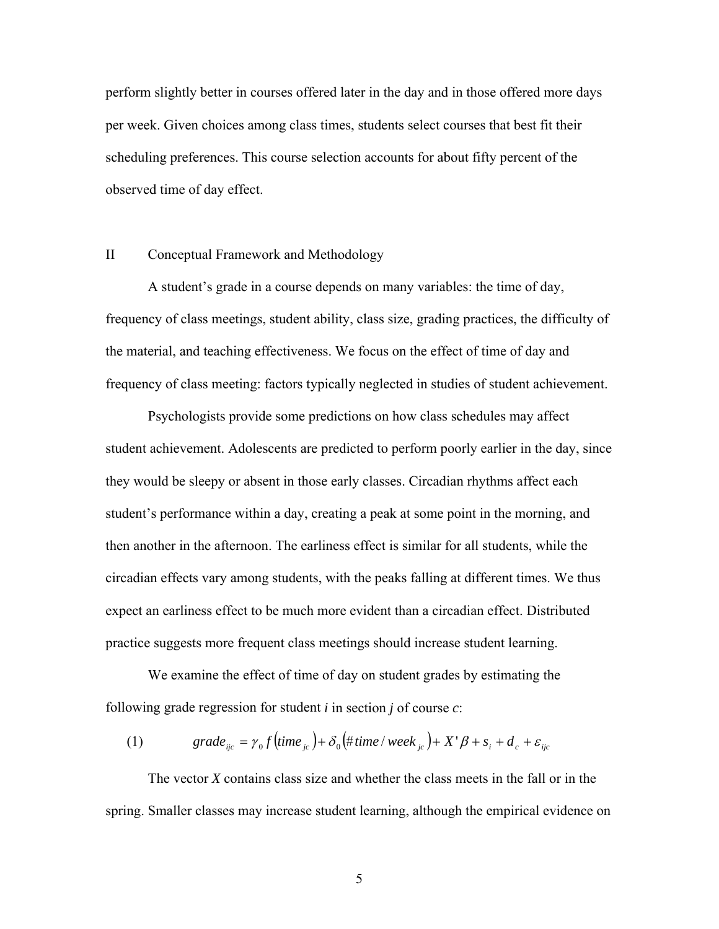perform slightly better in courses offered later in the day and in those offered more days per week. Given choices among class times, students select courses that best fit their scheduling preferences. This course selection accounts for about fifty percent of the observed time of day effect.

### II Conceptual Framework and Methodology

A student's grade in a course depends on many variables: the time of day, frequency of class meetings, student ability, class size, grading practices, the difficulty of the material, and teaching effectiveness. We focus on the effect of time of day and frequency of class meeting: factors typically neglected in studies of student achievement.

Psychologists provide some predictions on how class schedules may affect student achievement. Adolescents are predicted to perform poorly earlier in the day, since they would be sleepy or absent in those early classes. Circadian rhythms affect each student's performance within a day, creating a peak at some point in the morning, and then another in the afternoon. The earliness effect is similar for all students, while the circadian effects vary among students, with the peaks falling at different times. We thus expect an earliness effect to be much more evident than a circadian effect. Distributed practice suggests more frequent class meetings should increase student learning.

We examine the effect of time of day on student grades by estimating the following grade regression for student *i* in section *j* of course *c*:

(1) 
$$
grade_{ijc} = \gamma_0 f \left( \text{time}_{jc} \right) + \delta_0 \left( \text{# time} / \text{ week}_{jc} \right) + X' \beta + s_i + d_c + \varepsilon_{ijc}
$$

The vector *X* contains class size and whether the class meets in the fall or in the spring. Smaller classes may increase student learning, although the empirical evidence on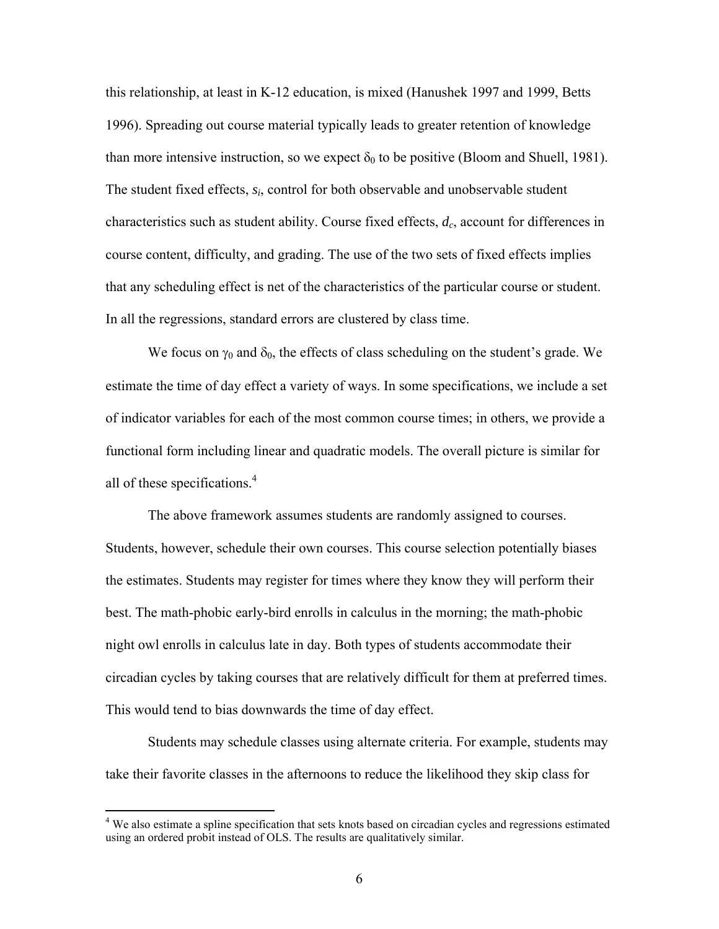this relationship, at least in K-12 education, is mixed (Hanushek 1997 and 1999, Betts 1996). Spreading out course material typically leads to greater retention of knowledge than more intensive instruction, so we expect  $\delta_0$  to be positive (Bloom and Shuell, 1981). The student fixed effects, *si*, control for both observable and unobservable student characteristics such as student ability. Course fixed effects, *dc*, account for differences in course content, difficulty, and grading. The use of the two sets of fixed effects implies that any scheduling effect is net of the characteristics of the particular course or student. In all the regressions, standard errors are clustered by class time.

We focus on  $\gamma_0$  and  $\delta_0$ , the effects of class scheduling on the student's grade. We estimate the time of day effect a variety of ways. In some specifications, we include a set of indicator variables for each of the most common course times; in others, we provide a functional form including linear and quadratic models. The overall picture is similar for all of these specifications.<sup>4</sup>

The above framework assumes students are randomly assigned to courses. Students, however, schedule their own courses. This course selection potentially biases the estimates. Students may register for times where they know they will perform their best. The math-phobic early-bird enrolls in calculus in the morning; the math-phobic night owl enrolls in calculus late in day. Both types of students accommodate their circadian cycles by taking courses that are relatively difficult for them at preferred times. This would tend to bias downwards the time of day effect.

Students may schedule classes using alternate criteria. For example, students may take their favorite classes in the afternoons to reduce the likelihood they skip class for

 $\overline{a}$ 

<sup>&</sup>lt;sup>4</sup> We also estimate a spline specification that sets knots based on circadian cycles and regressions estimated using an ordered probit instead of OLS. The results are qualitatively similar.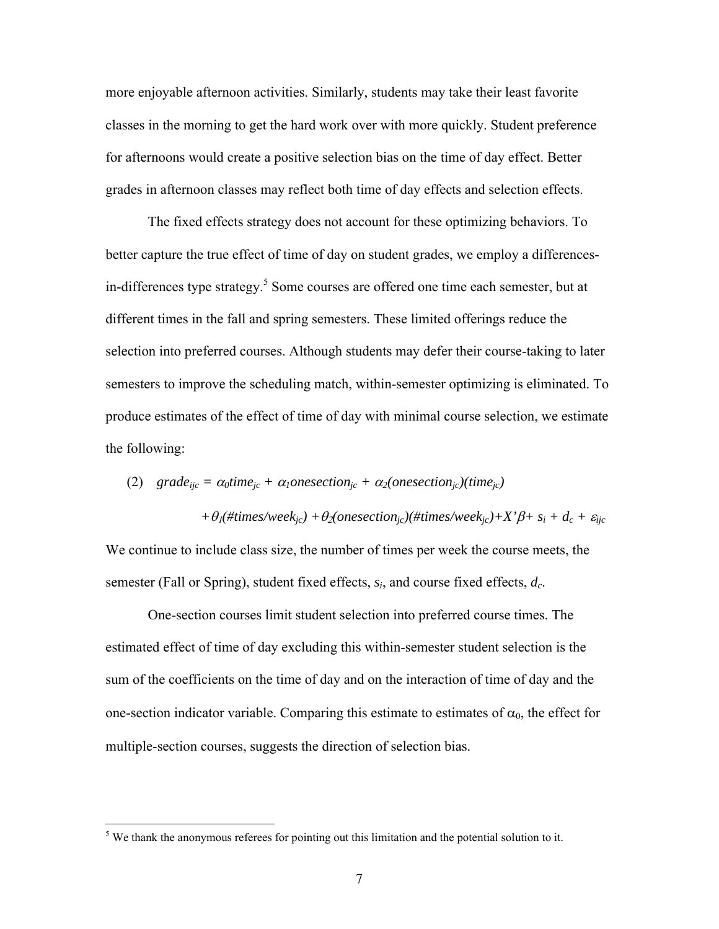more enjoyable afternoon activities. Similarly, students may take their least favorite classes in the morning to get the hard work over with more quickly. Student preference for afternoons would create a positive selection bias on the time of day effect. Better grades in afternoon classes may reflect both time of day effects and selection effects.

The fixed effects strategy does not account for these optimizing behaviors. To better capture the true effect of time of day on student grades, we employ a differencesin-differences type strategy.<sup>5</sup> Some courses are offered one time each semester, but at different times in the fall and spring semesters. These limited offerings reduce the selection into preferred courses. Although students may defer their course-taking to later semesters to improve the scheduling match, within-semester optimizing is eliminated. To produce estimates of the effect of time of day with minimal course selection, we estimate the following:

(2) 
$$
grade_{ijc} = \alpha_0 \text{time}_{jc} + \alpha_1 \text{onesection}_{jc} + \alpha_2(\text{onesection}_{jc})(\text{time}_{jc})
$$

 $+ \theta_i$ (#times/week<sub>jc</sub>) +  $\theta_2$ (onesection<sub>jc</sub>)(#times/week<sub>jc</sub>)+X' $\beta$ + s<sub>i</sub> +  $d_c$  +  $\varepsilon_{ijc}$ 

We continue to include class size, the number of times per week the course meets, the semester (Fall or Spring), student fixed effects, *si*, and course fixed effects, *dc*.

One-section courses limit student selection into preferred course times. The estimated effect of time of day excluding this within-semester student selection is the sum of the coefficients on the time of day and on the interaction of time of day and the one-section indicator variable. Comparing this estimate to estimates of  $\alpha_0$ , the effect for multiple-section courses, suggests the direction of selection bias.

<sup>&</sup>lt;sup>5</sup> We thank the anonymous referees for pointing out this limitation and the potential solution to it.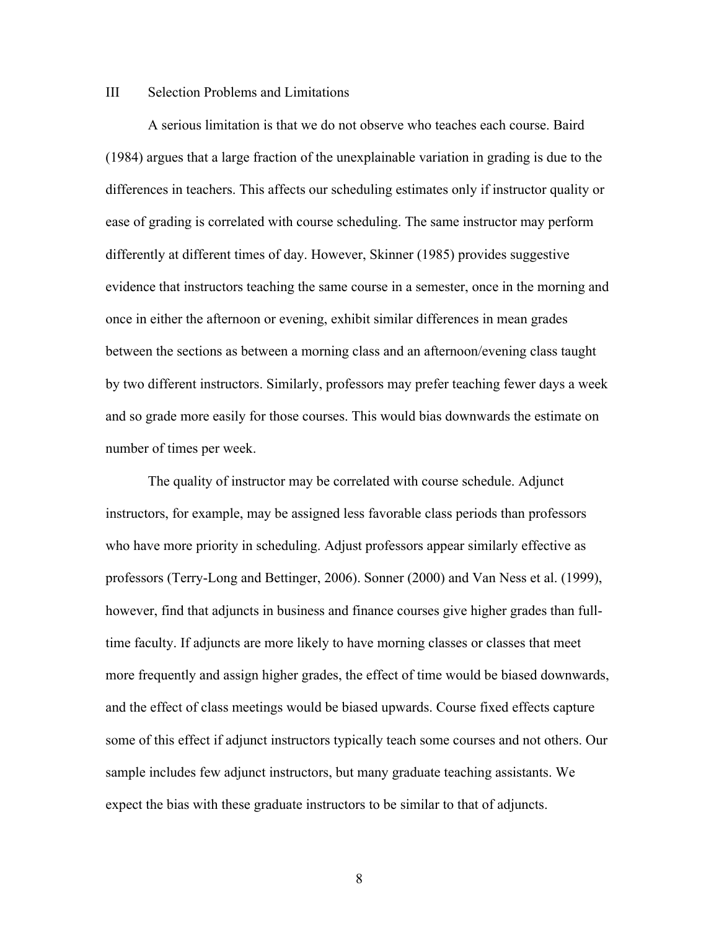### III Selection Problems and Limitations

A serious limitation is that we do not observe who teaches each course. Baird (1984) argues that a large fraction of the unexplainable variation in grading is due to the differences in teachers. This affects our scheduling estimates only if instructor quality or ease of grading is correlated with course scheduling. The same instructor may perform differently at different times of day. However, Skinner (1985) provides suggestive evidence that instructors teaching the same course in a semester, once in the morning and once in either the afternoon or evening, exhibit similar differences in mean grades between the sections as between a morning class and an afternoon/evening class taught by two different instructors. Similarly, professors may prefer teaching fewer days a week and so grade more easily for those courses. This would bias downwards the estimate on number of times per week.

The quality of instructor may be correlated with course schedule. Adjunct instructors, for example, may be assigned less favorable class periods than professors who have more priority in scheduling. Adjust professors appear similarly effective as professors (Terry-Long and Bettinger, 2006). Sonner (2000) and Van Ness et al. (1999), however, find that adjuncts in business and finance courses give higher grades than fulltime faculty. If adjuncts are more likely to have morning classes or classes that meet more frequently and assign higher grades, the effect of time would be biased downwards, and the effect of class meetings would be biased upwards. Course fixed effects capture some of this effect if adjunct instructors typically teach some courses and not others. Our sample includes few adjunct instructors, but many graduate teaching assistants. We expect the bias with these graduate instructors to be similar to that of adjuncts.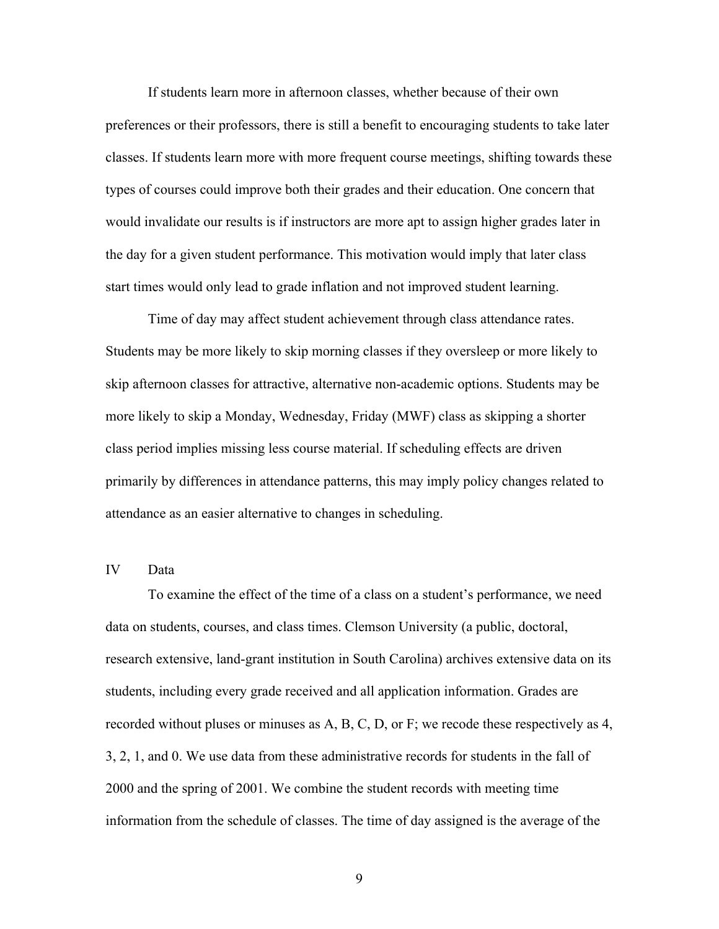If students learn more in afternoon classes, whether because of their own preferences or their professors, there is still a benefit to encouraging students to take later classes. If students learn more with more frequent course meetings, shifting towards these types of courses could improve both their grades and their education. One concern that would invalidate our results is if instructors are more apt to assign higher grades later in the day for a given student performance. This motivation would imply that later class start times would only lead to grade inflation and not improved student learning.

Time of day may affect student achievement through class attendance rates. Students may be more likely to skip morning classes if they oversleep or more likely to skip afternoon classes for attractive, alternative non-academic options. Students may be more likely to skip a Monday, Wednesday, Friday (MWF) class as skipping a shorter class period implies missing less course material. If scheduling effects are driven primarily by differences in attendance patterns, this may imply policy changes related to attendance as an easier alternative to changes in scheduling.

## IV Data

To examine the effect of the time of a class on a student's performance, we need data on students, courses, and class times. Clemson University (a public, doctoral, research extensive, land-grant institution in South Carolina) archives extensive data on its students, including every grade received and all application information. Grades are recorded without pluses or minuses as A, B, C, D, or F; we recode these respectively as 4, 3, 2, 1, and 0. We use data from these administrative records for students in the fall of 2000 and the spring of 2001. We combine the student records with meeting time information from the schedule of classes. The time of day assigned is the average of the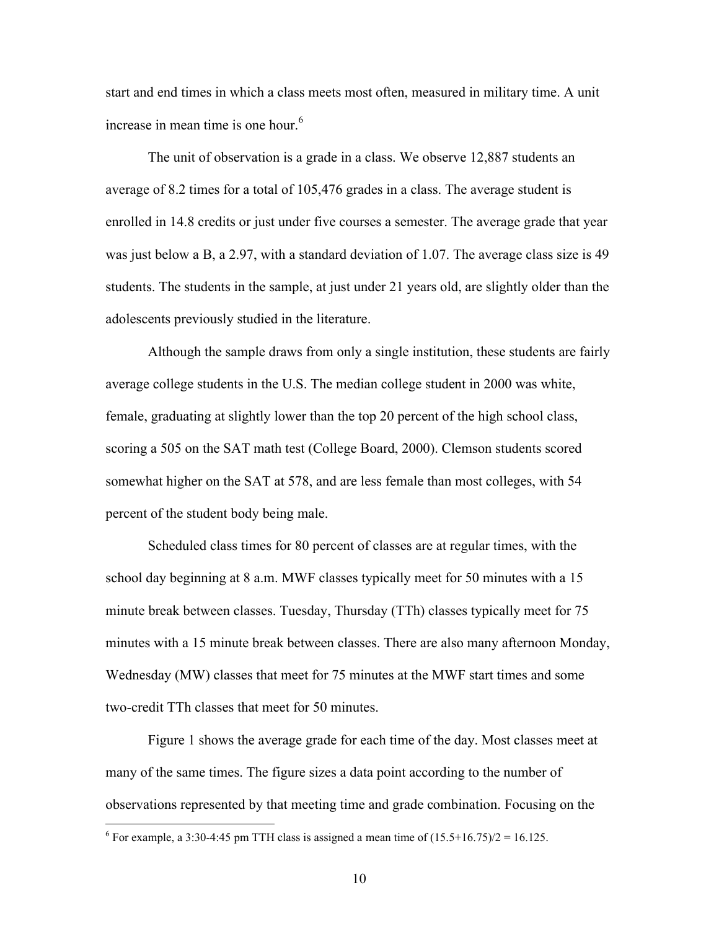start and end times in which a class meets most often, measured in military time. A unit increase in mean time is one hour. $6$ 

The unit of observation is a grade in a class. We observe 12,887 students an average of 8.2 times for a total of 105,476 grades in a class. The average student is enrolled in 14.8 credits or just under five courses a semester. The average grade that year was just below a B, a 2.97, with a standard deviation of 1.07. The average class size is 49 students. The students in the sample, at just under 21 years old, are slightly older than the adolescents previously studied in the literature.

Although the sample draws from only a single institution, these students are fairly average college students in the U.S. The median college student in 2000 was white, female, graduating at slightly lower than the top 20 percent of the high school class, scoring a 505 on the SAT math test (College Board, 2000). Clemson students scored somewhat higher on the SAT at 578, and are less female than most colleges, with 54 percent of the student body being male.

Scheduled class times for 80 percent of classes are at regular times, with the school day beginning at 8 a.m. MWF classes typically meet for 50 minutes with a 15 minute break between classes. Tuesday, Thursday (TTh) classes typically meet for 75 minutes with a 15 minute break between classes. There are also many afternoon Monday, Wednesday (MW) classes that meet for 75 minutes at the MWF start times and some two-credit TTh classes that meet for 50 minutes.

Figure 1 shows the average grade for each time of the day. Most classes meet at many of the same times. The figure sizes a data point according to the number of observations represented by that meeting time and grade combination. Focusing on the

 $\overline{a}$ 

<sup>&</sup>lt;sup>6</sup> For example, a 3:30-4:45 pm TTH class is assigned a mean time of  $(15.5+16.75)/2 = 16.125$ .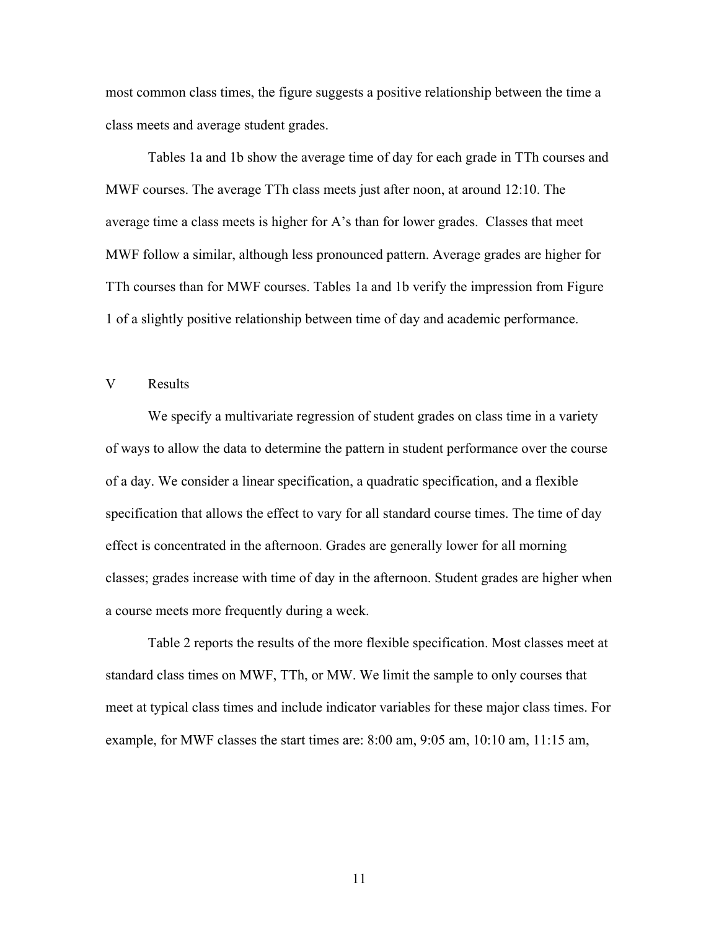most common class times, the figure suggests a positive relationship between the time a class meets and average student grades.

Tables 1a and 1b show the average time of day for each grade in TTh courses and MWF courses. The average TTh class meets just after noon, at around 12:10. The average time a class meets is higher for A's than for lower grades. Classes that meet MWF follow a similar, although less pronounced pattern. Average grades are higher for TTh courses than for MWF courses. Tables 1a and 1b verify the impression from Figure 1 of a slightly positive relationship between time of day and academic performance.

### V Results

We specify a multivariate regression of student grades on class time in a variety of ways to allow the data to determine the pattern in student performance over the course of a day. We consider a linear specification, a quadratic specification, and a flexible specification that allows the effect to vary for all standard course times. The time of day effect is concentrated in the afternoon. Grades are generally lower for all morning classes; grades increase with time of day in the afternoon. Student grades are higher when a course meets more frequently during a week.

Table 2 reports the results of the more flexible specification. Most classes meet at standard class times on MWF, TTh, or MW. We limit the sample to only courses that meet at typical class times and include indicator variables for these major class times. For example, for MWF classes the start times are: 8:00 am, 9:05 am, 10:10 am, 11:15 am,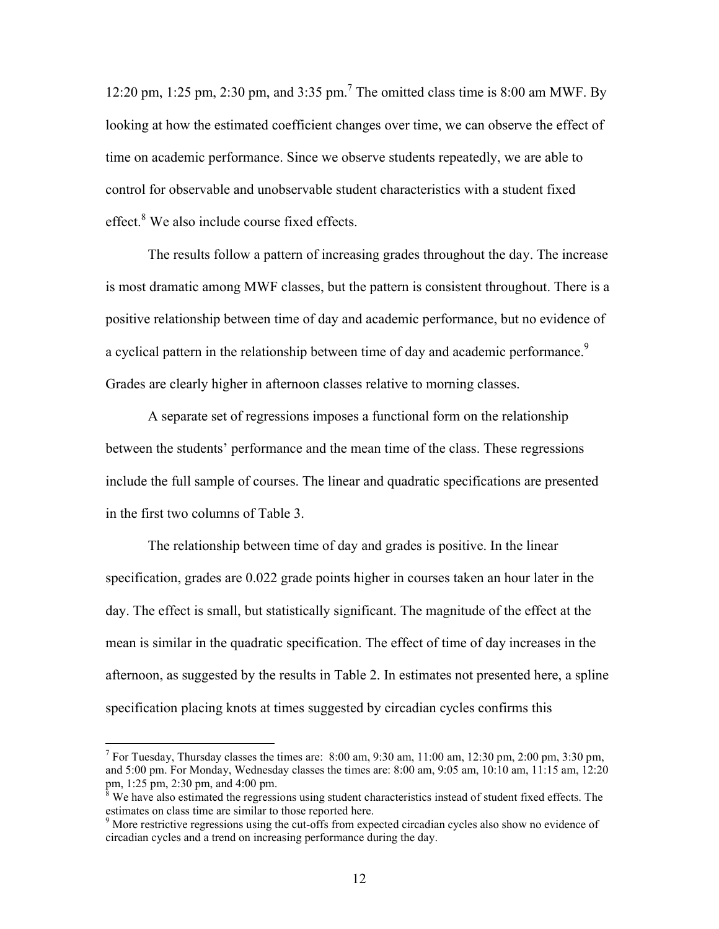12:20 pm, 1:25 pm, 2:30 pm, and 3:35 pm.<sup>7</sup> The omitted class time is 8:00 am MWF. By looking at how the estimated coefficient changes over time, we can observe the effect of time on academic performance. Since we observe students repeatedly, we are able to control for observable and unobservable student characteristics with a student fixed effect.<sup>8</sup> We also include course fixed effects.

The results follow a pattern of increasing grades throughout the day. The increase is most dramatic among MWF classes, but the pattern is consistent throughout. There is a positive relationship between time of day and academic performance, but no evidence of a cyclical pattern in the relationship between time of day and academic performance.<sup>9</sup> Grades are clearly higher in afternoon classes relative to morning classes.

A separate set of regressions imposes a functional form on the relationship between the students' performance and the mean time of the class. These regressions include the full sample of courses. The linear and quadratic specifications are presented in the first two columns of Table 3.

The relationship between time of day and grades is positive. In the linear specification, grades are 0.022 grade points higher in courses taken an hour later in the day. The effect is small, but statistically significant. The magnitude of the effect at the mean is similar in the quadratic specification. The effect of time of day increases in the afternoon, as suggested by the results in Table 2. In estimates not presented here, a spline specification placing knots at times suggested by circadian cycles confirms this

 $\overline{a}$ 

<sup>&</sup>lt;sup>7</sup> For Tuesday, Thursday classes the times are: 8:00 am, 9:30 am, 11:00 am, 12:30 pm, 2:00 pm, 3:30 pm, and 5:00 pm. For Monday, Wednesday classes the times are: 8:00 am, 9:05 am, 10:10 am, 11:15 am, 12:20 pm, 1:25 pm, 2:30 pm, and 4:00 pm.

<sup>&</sup>lt;sup>8</sup> We have also estimated the regressions using student characteristics instead of student fixed effects. The estimates on class time are similar to those reported here.<br><sup>9</sup> More restrictive regressions using the cut-offs from expected circadian cycles also show no evidence of

circadian cycles and a trend on increasing performance during the day.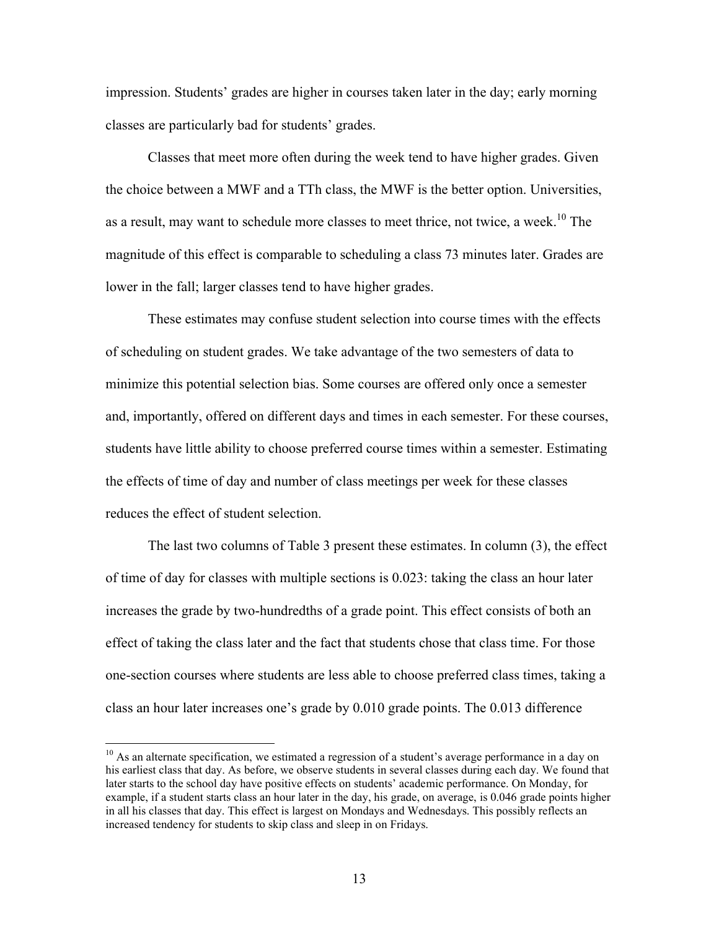impression. Students' grades are higher in courses taken later in the day; early morning classes are particularly bad for students' grades.

Classes that meet more often during the week tend to have higher grades. Given the choice between a MWF and a TTh class, the MWF is the better option. Universities, as a result, may want to schedule more classes to meet thrice, not twice, a week.<sup>10</sup> The magnitude of this effect is comparable to scheduling a class 73 minutes later. Grades are lower in the fall; larger classes tend to have higher grades.

These estimates may confuse student selection into course times with the effects of scheduling on student grades. We take advantage of the two semesters of data to minimize this potential selection bias. Some courses are offered only once a semester and, importantly, offered on different days and times in each semester. For these courses, students have little ability to choose preferred course times within a semester. Estimating the effects of time of day and number of class meetings per week for these classes reduces the effect of student selection.

The last two columns of Table 3 present these estimates. In column (3), the effect of time of day for classes with multiple sections is 0.023: taking the class an hour later increases the grade by two-hundredths of a grade point. This effect consists of both an effect of taking the class later and the fact that students chose that class time. For those one-section courses where students are less able to choose preferred class times, taking a class an hour later increases one's grade by 0.010 grade points. The 0.013 difference

<sup>&</sup>lt;sup>10</sup> As an alternate specification, we estimated a regression of a student's average performance in a day on his earliest class that day. As before, we observe students in several classes during each day. We found that later starts to the school day have positive effects on students' academic performance. On Monday, for example, if a student starts class an hour later in the day, his grade, on average, is 0.046 grade points higher in all his classes that day. This effect is largest on Mondays and Wednesdays. This possibly reflects an increased tendency for students to skip class and sleep in on Fridays.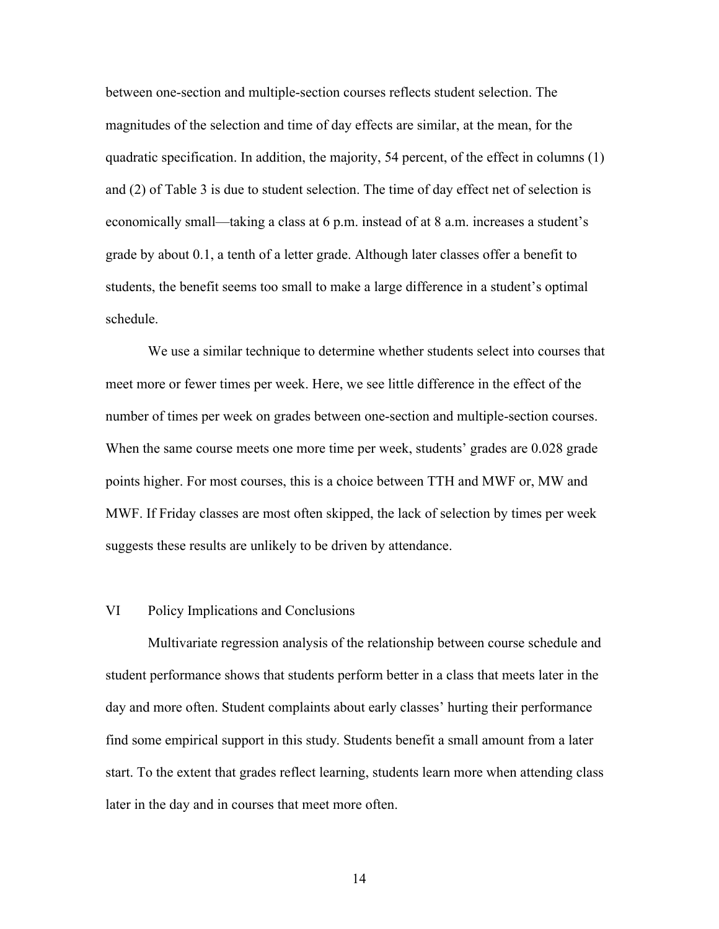between one-section and multiple-section courses reflects student selection. The magnitudes of the selection and time of day effects are similar, at the mean, for the quadratic specification. In addition, the majority, 54 percent, of the effect in columns (1) and (2) of Table 3 is due to student selection. The time of day effect net of selection is economically small—taking a class at 6 p.m. instead of at 8 a.m. increases a student's grade by about 0.1, a tenth of a letter grade. Although later classes offer a benefit to students, the benefit seems too small to make a large difference in a student's optimal schedule.

We use a similar technique to determine whether students select into courses that meet more or fewer times per week. Here, we see little difference in the effect of the number of times per week on grades between one-section and multiple-section courses. When the same course meets one more time per week, students' grades are 0.028 grade points higher. For most courses, this is a choice between TTH and MWF or, MW and MWF. If Friday classes are most often skipped, the lack of selection by times per week suggests these results are unlikely to be driven by attendance.

#### VI Policy Implications and Conclusions

Multivariate regression analysis of the relationship between course schedule and student performance shows that students perform better in a class that meets later in the day and more often. Student complaints about early classes' hurting their performance find some empirical support in this study. Students benefit a small amount from a later start. To the extent that grades reflect learning, students learn more when attending class later in the day and in courses that meet more often.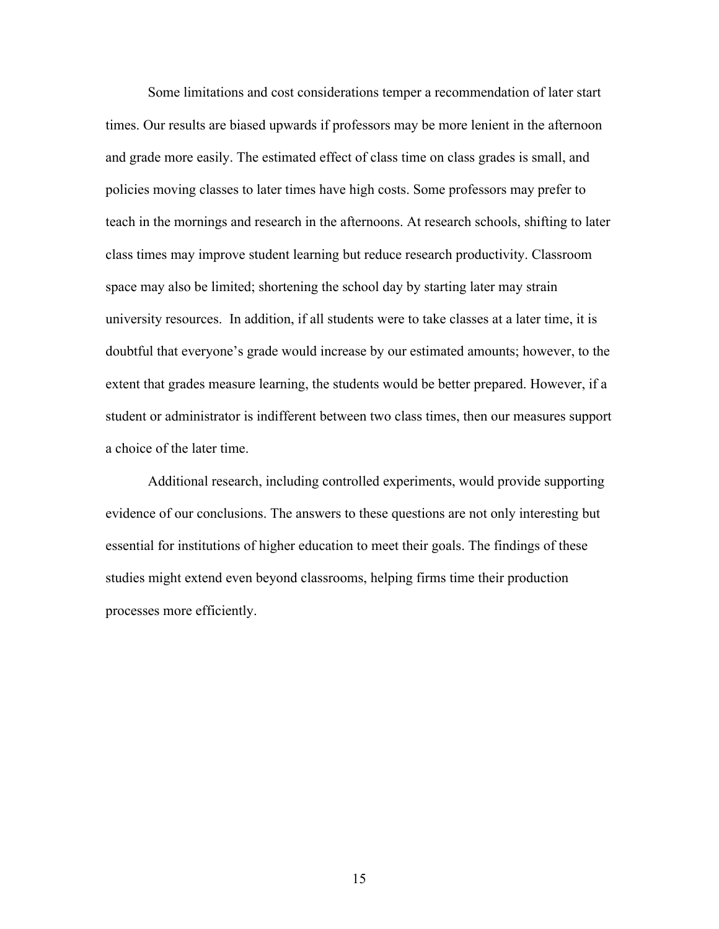Some limitations and cost considerations temper a recommendation of later start times. Our results are biased upwards if professors may be more lenient in the afternoon and grade more easily. The estimated effect of class time on class grades is small, and policies moving classes to later times have high costs. Some professors may prefer to teach in the mornings and research in the afternoons. At research schools, shifting to later class times may improve student learning but reduce research productivity. Classroom space may also be limited; shortening the school day by starting later may strain university resources. In addition, if all students were to take classes at a later time, it is doubtful that everyone's grade would increase by our estimated amounts; however, to the extent that grades measure learning, the students would be better prepared. However, if a student or administrator is indifferent between two class times, then our measures support a choice of the later time.

Additional research, including controlled experiments, would provide supporting evidence of our conclusions. The answers to these questions are not only interesting but essential for institutions of higher education to meet their goals. The findings of these studies might extend even beyond classrooms, helping firms time their production processes more efficiently.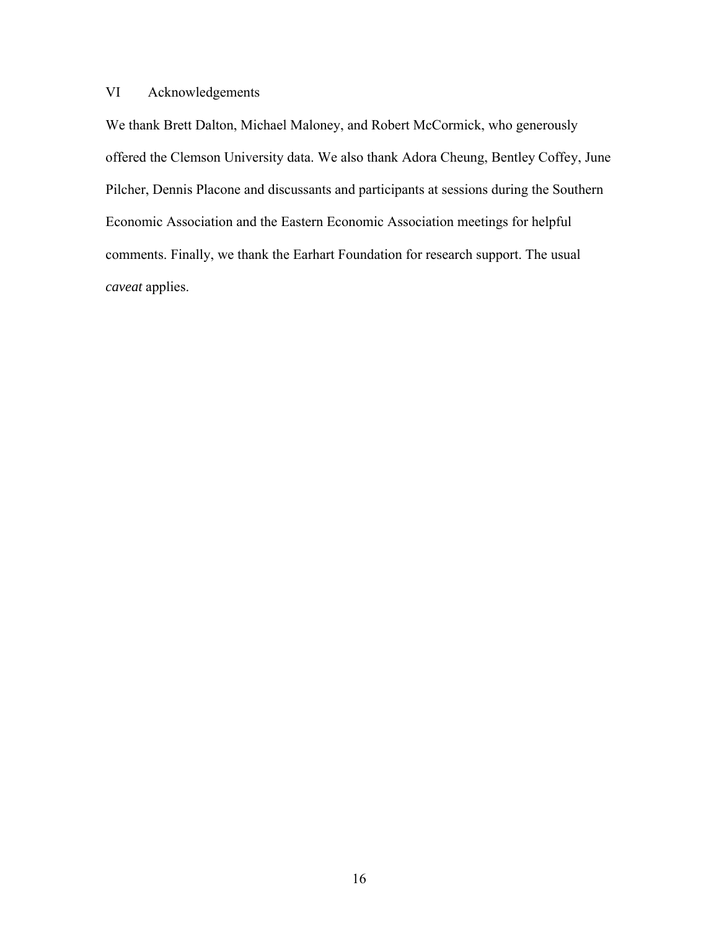# VI Acknowledgements

We thank Brett Dalton, Michael Maloney, and Robert McCormick, who generously offered the Clemson University data. We also thank Adora Cheung, Bentley Coffey, June Pilcher, Dennis Placone and discussants and participants at sessions during the Southern Economic Association and the Eastern Economic Association meetings for helpful comments. Finally, we thank the Earhart Foundation for research support. The usual *caveat* applies.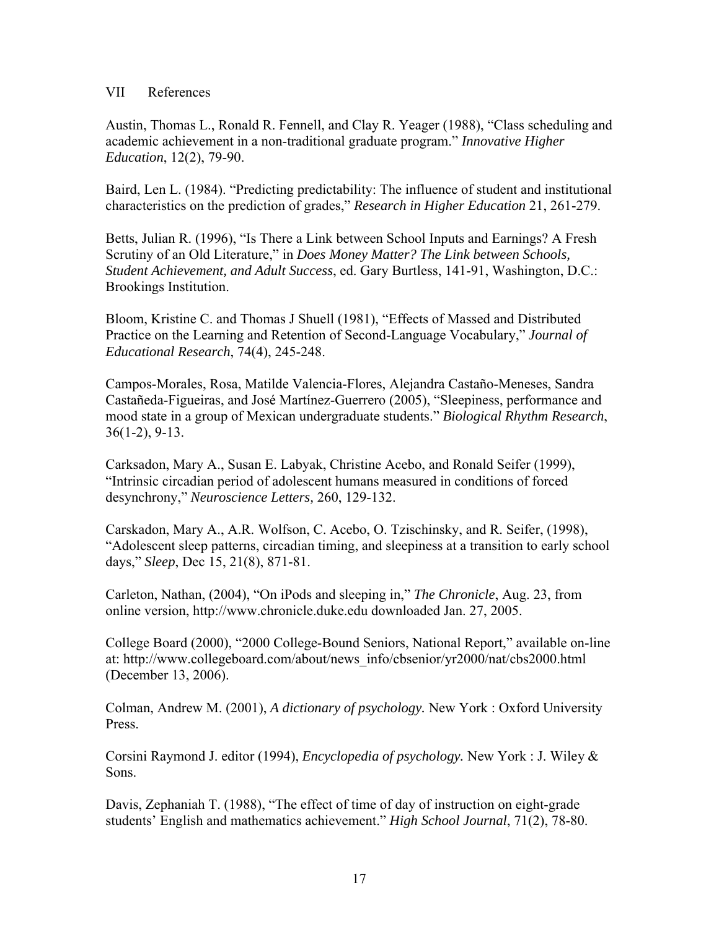### VII References

Austin, Thomas L., Ronald R. Fennell, and Clay R. Yeager (1988), "Class scheduling and academic achievement in a non-traditional graduate program." *Innovative Higher Education*, 12(2), 79-90.

Baird, Len L. (1984). "Predicting predictability: The influence of student and institutional characteristics on the prediction of grades," *Research in Higher Education* 21, 261-279.

Betts, Julian R. (1996), "Is There a Link between School Inputs and Earnings? A Fresh Scrutiny of an Old Literature," in *Does Money Matter? The Link between Schools, Student Achievement, and Adult Success*, ed. Gary Burtless, 141-91, Washington, D.C.: Brookings Institution.

Bloom, Kristine C. and Thomas J Shuell (1981), "Effects of Massed and Distributed Practice on the Learning and Retention of Second-Language Vocabulary," *Journal of Educational Research*, 74(4), 245-248.

Campos-Morales, Rosa, Matilde Valencia-Flores, Alejandra Castaño-Meneses, Sandra Castañeda-Figueiras, and José Martínez-Guerrero (2005), "Sleepiness, performance and mood state in a group of Mexican undergraduate students." *Biological Rhythm Research*, 36(1-2), 9-13.

Carksadon, Mary A., Susan E. Labyak, Christine Acebo, and Ronald Seifer (1999), "Intrinsic circadian period of adolescent humans measured in conditions of forced desynchrony," *Neuroscience Letters,* 260, 129-132.

Carskadon, Mary A., A.R. Wolfson, C. Acebo, O. Tzischinsky, and R. Seifer, (1998), "Adolescent sleep patterns, circadian timing, and sleepiness at a transition to early school days," *Sleep*, Dec 15, 21(8), 871-81.

Carleton, Nathan, (2004), "On iPods and sleeping in," *The Chronicle*, Aug. 23, from online version, http://www.chronicle.duke.edu downloaded Jan. 27, 2005.

College Board (2000), "2000 College-Bound Seniors, National Report," available on-line at: http://www.collegeboard.com/about/news\_info/cbsenior/yr2000/nat/cbs2000.html (December 13, 2006).

Colman, Andrew M. (2001), *A dictionary of psychology.* New York : Oxford University Press.

Corsini Raymond J. editor (1994), *Encyclopedia of psychology.* New York : J. Wiley & Sons.

Davis, Zephaniah T. (1988), "The effect of time of day of instruction on eight-grade students' English and mathematics achievement." *High School Journal*, 71(2), 78-80.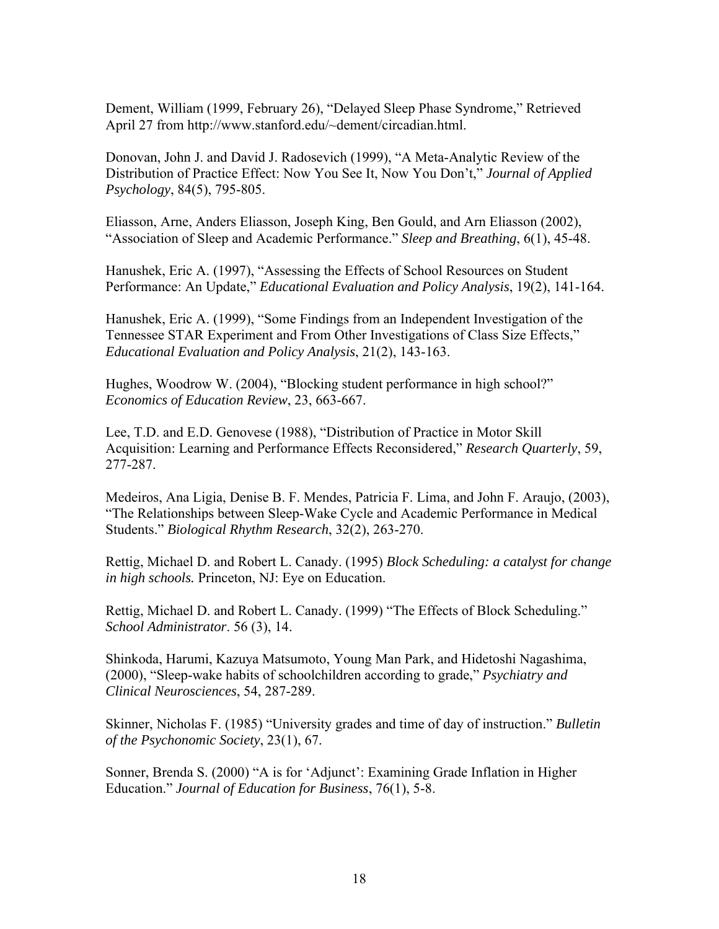Dement, William (1999, February 26), "Delayed Sleep Phase Syndrome," Retrieved April 27 from http://www.stanford.edu/~dement/circadian.html.

Donovan, John J. and David J. Radosevich (1999), "A Meta-Analytic Review of the Distribution of Practice Effect: Now You See It, Now You Don't," *Journal of Applied Psychology*, 84(5), 795-805.

Eliasson, Arne, Anders Eliasson, Joseph King, Ben Gould, and Arn Eliasson (2002), "Association of Sleep and Academic Performance." *Sleep and Breathing*, 6(1), 45-48.

Hanushek, Eric A. (1997), "Assessing the Effects of School Resources on Student Performance: An Update," *Educational Evaluation and Policy Analysis*, 19(2), 141-164.

Hanushek, Eric A. (1999), "Some Findings from an Independent Investigation of the Tennessee STAR Experiment and From Other Investigations of Class Size Effects," *Educational Evaluation and Policy Analysis*, 21(2), 143-163.

Hughes, Woodrow W. (2004), "Blocking student performance in high school?" *Economics of Education Review*, 23, 663-667.

Lee, T.D. and E.D. Genovese (1988), "Distribution of Practice in Motor Skill Acquisition: Learning and Performance Effects Reconsidered," *Research Quarterly*, 59, 277-287.

Medeiros, Ana Ligia, Denise B. F. Mendes, Patricia F. Lima, and John F. Araujo, (2003), "The Relationships between Sleep-Wake Cycle and Academic Performance in Medical Students." *Biological Rhythm Research*, 32(2), 263-270.

Rettig, Michael D. and Robert L. Canady. (1995) *Block Scheduling: a catalyst for change in high schools.* Princeton, NJ: Eye on Education.

Rettig, Michael D. and Robert L. Canady. (1999) "The Effects of Block Scheduling." *School Administrator*. 56 (3), 14.

Shinkoda, Harumi, Kazuya Matsumoto, Young Man Park, and Hidetoshi Nagashima, (2000), "Sleep-wake habits of schoolchildren according to grade," *Psychiatry and Clinical Neurosciences*, 54, 287-289.

Skinner, Nicholas F. (1985) "University grades and time of day of instruction." *Bulletin of the Psychonomic Society*, 23(1), 67.

Sonner, Brenda S. (2000) "A is for 'Adjunct': Examining Grade Inflation in Higher Education." *Journal of Education for Business*, 76(1), 5-8.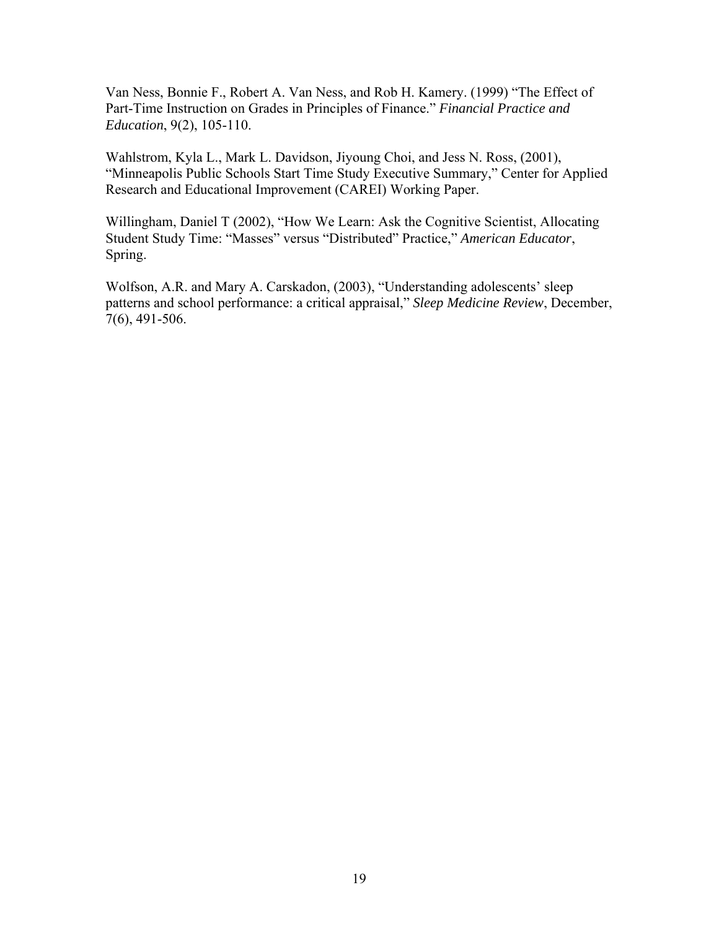Van Ness, Bonnie F., Robert A. Van Ness, and Rob H. Kamery. (1999) "The Effect of Part-Time Instruction on Grades in Principles of Finance." *Financial Practice and Education*, 9(2), 105-110.

Wahlstrom, Kyla L., Mark L. Davidson, Jiyoung Choi, and Jess N. Ross, (2001), "Minneapolis Public Schools Start Time Study Executive Summary," Center for Applied Research and Educational Improvement (CAREI) Working Paper.

Willingham, Daniel T (2002), "How We Learn: Ask the Cognitive Scientist, Allocating Student Study Time: "Masses" versus "Distributed" Practice," *American Educator*, Spring.

Wolfson, A.R. and Mary A. Carskadon, (2003), "Understanding adolescents' sleep patterns and school performance: a critical appraisal," *Sleep Medicine Review*, December, 7(6), 491-506.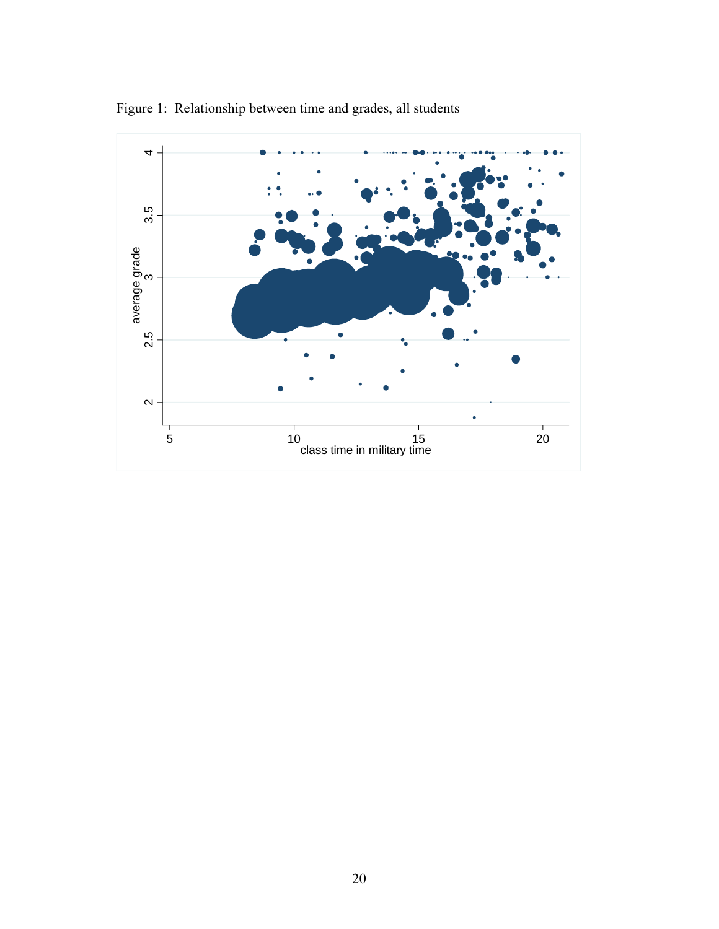

Figure 1: Relationship between time and grades, all students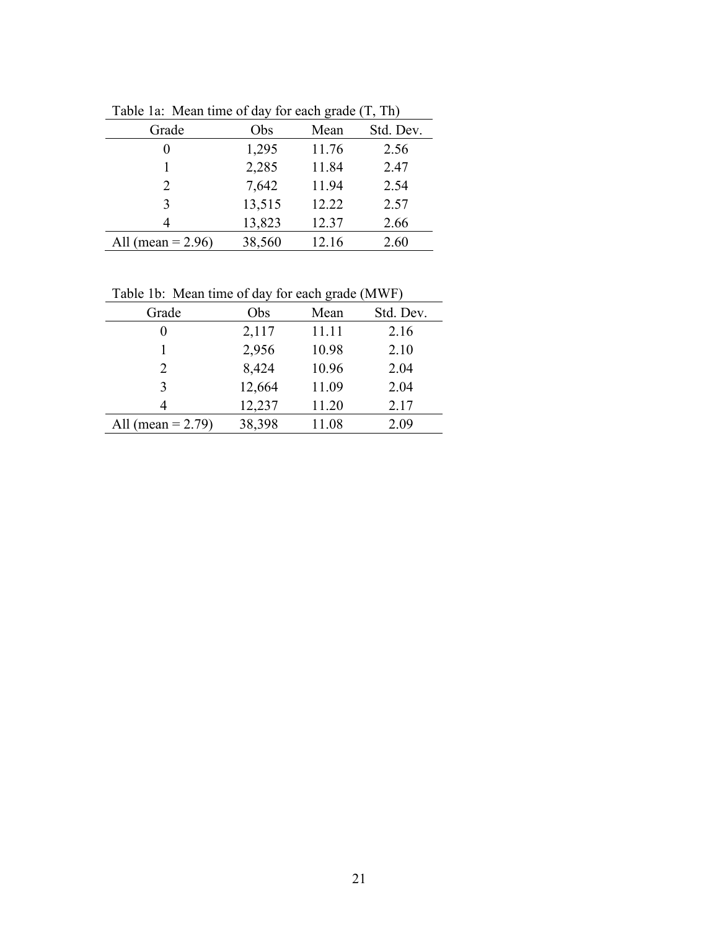| Table Ta. Trieall three of day for each grade (T, TH) |        |       |           |  |  |
|-------------------------------------------------------|--------|-------|-----------|--|--|
| Grade                                                 | Obs    | Mean  | Std. Dev. |  |  |
| 0                                                     | 1,295  | 11.76 | 2.56      |  |  |
|                                                       | 2,285  | 11.84 | 2.47      |  |  |
| 2                                                     | 7,642  | 11.94 | 2.54      |  |  |
| 3                                                     | 13,515 | 12.22 | 2.57      |  |  |
| 4                                                     | 13,823 | 12.37 | 2.66      |  |  |
| All (mean = $2.96$ )                                  | 38,560 | 12.16 | 2.60      |  |  |

Table 1a: Mean time of day for each grade (T, Th)

Table 1b: Mean time of day for each grade (MWF)

| Table Tb: Mean time of day for each grade (MWF) |        |       |           |  |
|-------------------------------------------------|--------|-------|-----------|--|
| Grade                                           | Obs    | Mean  | Std. Dev. |  |
| 0                                               | 2,117  | 11.11 | 2.16      |  |
|                                                 | 2,956  | 10.98 | 2.10      |  |
| 2                                               | 8,424  | 10.96 | 2.04      |  |
| 3                                               | 12,664 | 11.09 | 2.04      |  |
| 4                                               | 12,237 | 11.20 | 2.17      |  |
| All (mean = $2.79$ )                            | 38,398 | 11.08 | 2.09      |  |
|                                                 |        |       |           |  |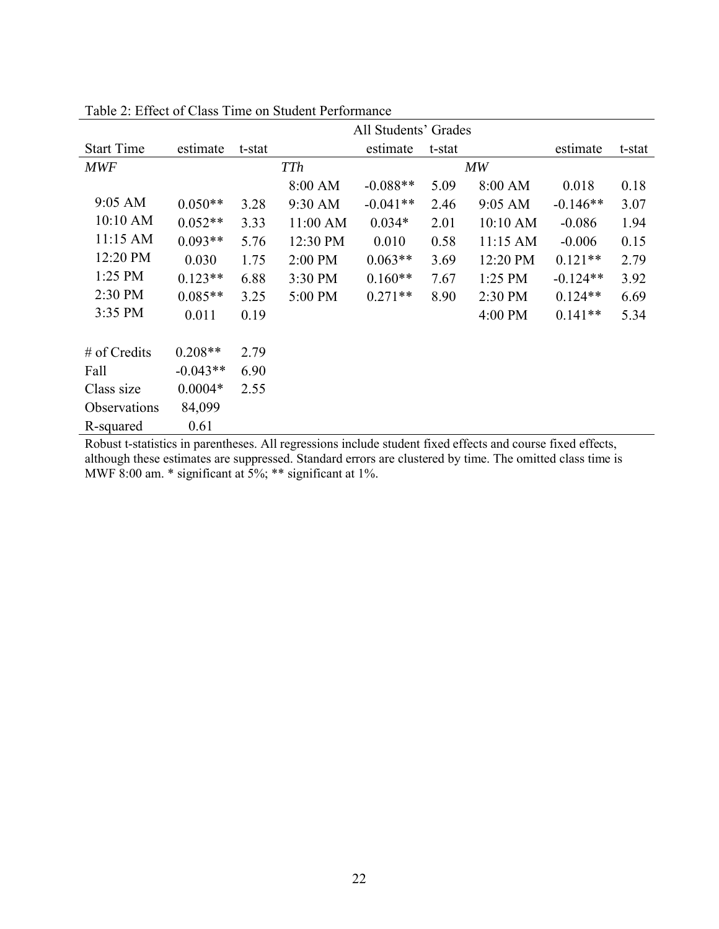|                   |            | All Students' Grades |            |            |        |            |            |        |
|-------------------|------------|----------------------|------------|------------|--------|------------|------------|--------|
| <b>Start Time</b> | estimate   | t-stat               |            | estimate   | t-stat |            | estimate   | t-stat |
| <b>MWF</b>        |            |                      | <b>TTh</b> |            |        | MW         |            |        |
|                   |            |                      | 8:00 AM    | $-0.088**$ | 5.09   | 8:00 AM    | 0.018      | 0.18   |
| 9:05 AM           | $0.050**$  | 3.28                 | 9:30 AM    | $-0.041**$ | 2.46   | 9:05 AM    | $-0.146**$ | 3.07   |
| 10:10 AM          | $0.052**$  | 3.33                 | 11:00 AM   | $0.034*$   | 2.01   | 10:10 AM   | $-0.086$   | 1.94   |
| 11:15 AM          | $0.093**$  | 5.76                 | 12:30 PM   | 0.010      | 0.58   | $11:15$ AM | $-0.006$   | 0.15   |
| 12:20 PM          | 0.030      | 1.75                 | 2:00 PM    | $0.063**$  | 3.69   | 12:20 PM   | $0.121**$  | 2.79   |
| $1:25$ PM         | $0.123**$  | 6.88                 | 3:30 PM    | $0.160**$  | 7.67   | 1:25 PM    | $-0.124**$ | 3.92   |
| 2:30 PM           | $0.085**$  | 3.25                 | 5:00 PM    | $0.271**$  | 8.90   | 2:30 PM    | $0.124**$  | 6.69   |
| 3:35 PM           | 0.011      | 0.19                 |            |            |        | 4:00 PM    | $0.141**$  | 5.34   |
|                   |            |                      |            |            |        |            |            |        |
| $#$ of Credits    | $0.208**$  | 2.79                 |            |            |        |            |            |        |
| Fall              | $-0.043**$ | 6.90                 |            |            |        |            |            |        |
| Class size        | $0.0004*$  | 2.55                 |            |            |        |            |            |        |
| Observations      | 84,099     |                      |            |            |        |            |            |        |
| R-squared         | 0.61       |                      |            |            |        |            |            |        |

Table 2: Effect of Class Time on Student Performance

Robust t-statistics in parentheses. All regressions include student fixed effects and course fixed effects, although these estimates are suppressed. Standard errors are clustered by time. The omitted class time is MWF 8:00 am. \* significant at 5%; \*\* significant at 1%.